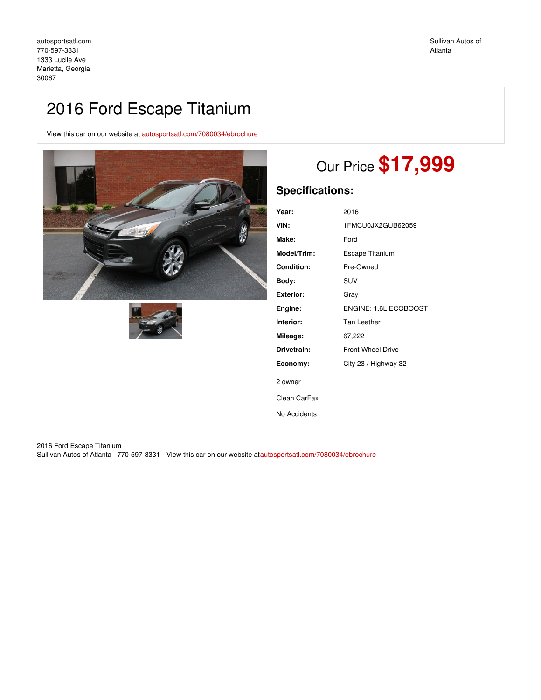# 2016 Ford Escape Titanium

View this car on our website at [autosportsatl.com/7080034/ebrochure](https://autosportsatl.com/vehicle/7080034/2016-ford-escape-titanium-marietta-georgia-30067/7080034/ebrochure)





# Our Price **\$17,999**

## **Specifications:**

| Year:             | 2016                     |
|-------------------|--------------------------|
| VIN:              | 1FMCU0JX2GUB62059        |
| Make:             | Ford                     |
| Model/Trim:       | <b>Escape Titanium</b>   |
| <b>Condition:</b> | Pre-Owned                |
| Body:             | SUV                      |
| <b>Exterior:</b>  | Gray                     |
| Engine:           | ENGINE: 1.6L ECOBOOST    |
| Interior:         | Tan Leather              |
| Mileage:          | 67,222                   |
| Drivetrain:       | <b>Front Wheel Drive</b> |
| Economy:          | City 23 / Highway 32     |
| 2 owner           |                          |
| Clean CarFax      |                          |
| No Accidents      |                          |

2016 Ford Escape Titanium Sullivan Autos of Atlanta - 770-597-3331 - View this car on our website a[tautosportsatl.com/7080034/ebrochure](https://autosportsatl.com/vehicle/7080034/2016-ford-escape-titanium-marietta-georgia-30067/7080034/ebrochure)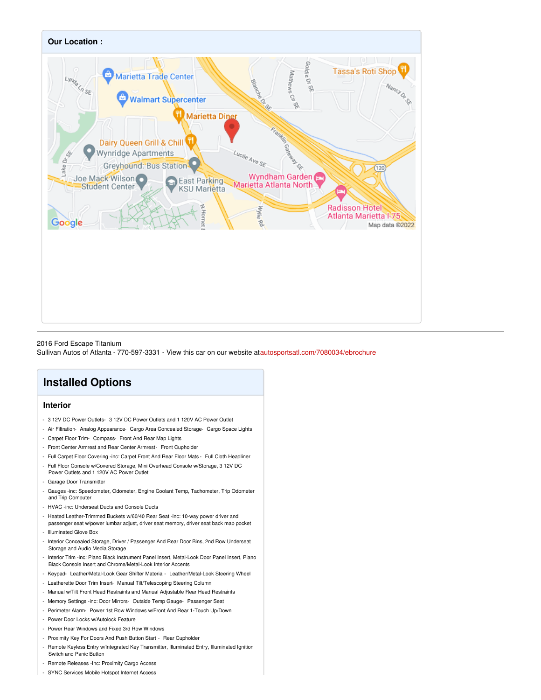

#### 2016 Ford Escape Titanium

Sullivan Autos of Atlanta - 770-597-3331 - View this car on our website a[tautosportsatl.com/7080034/ebrochure](https://autosportsatl.com/vehicle/7080034/2016-ford-escape-titanium-marietta-georgia-30067/7080034/ebrochure)

## **Installed Options**

### **Interior**

- 3 12V DC Power Outlets- 3 12V DC Power Outlets and 1 120V AC Power Outlet
- Air Filtration- Analog Appearance- Cargo Area Concealed Storage- Cargo Space Lights
- Carpet Floor Trim- Compass- Front And Rear Map Lights
- Front Center Armrest and Rear Center Armrest- Front Cupholder
- Full Carpet Floor Covering -inc: Carpet Front And Rear Floor Mats Full Cloth Headliner
- Full Floor Console w/Covered Storage, Mini Overhead Console w/Storage, 3 12V DC Power Outlets and 1 120V AC Power Outlet
- Garage Door Transmitter
- Gauges -inc: Speedometer, Odometer, Engine Coolant Temp, Tachometer, Trip Odometer and Trip Computer
- HVAC -inc: Underseat Ducts and Console Ducts
- Heated Leather-Trimmed Buckets w/60/40 Rear Seat -inc: 10-way power driver and passenger seat w/power lumbar adjust, driver seat memory, driver seat back map pocket
- Illuminated Glove Box
- Interior Concealed Storage, Driver / Passenger And Rear Door Bins, 2nd Row Underseat Storage and Audio Media Storage
- Interior Trim -inc: Piano Black Instrument Panel Insert, Metal-Look Door Panel Insert, Piano Black Console Insert and Chrome/Metal-Look Interior Accents
- Keypad- Leather/Metal-Look Gear Shifter Material- Leather/Metal-Look Steering Wheel
- Leatherette Door Trim Insert- Manual Tilt/Telescoping Steering Column
- Manual w/Tilt Front Head Restraints and Manual Adjustable Rear Head Restraints
- Memory Settings -inc: Door Mirrors- Outside Temp Gauge- Passenger Seat
- Perimeter Alarm- Power 1st Row Windows w/Front And Rear 1-Touch Up/Down
- Power Door Locks w/Autolock Feature
- Power Rear Windows and Fixed 3rd Row Windows
- Proximity Key For Doors And Push Button Start Rear Cupholder
- Remote Keyless Entry w/Integrated Key Transmitter, Illuminated Entry, Illuminated Ignition Switch and Panic Button
- Remote Releases -Inc: Proximity Cargo Access
- SYNC Services Mobile Hotspot Internet Access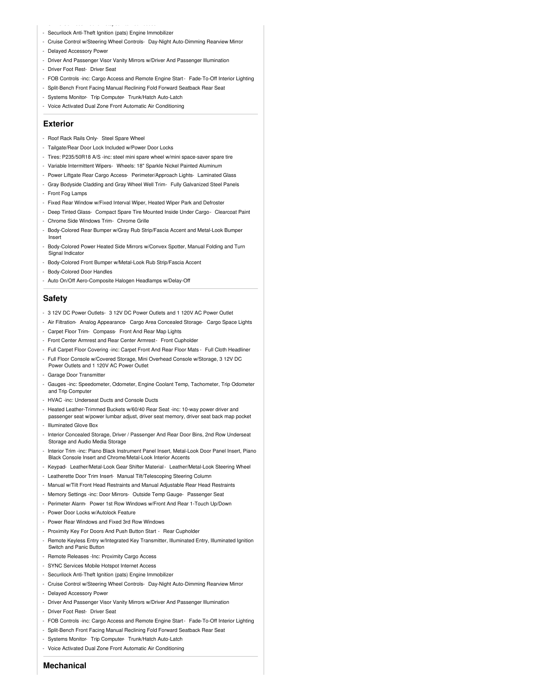#### - SYNC Services Mobile Hotspot Internet Access - Securilock Anti-Theft Ignition (pats) Engine Immobilizer

- Cruise Control w/Steering Wheel Controls- Day-Night Auto-Dimming Rearview Mirror
- Delayed Accessory Power
- Driver And Passenger Visor Vanity Mirrors w/Driver And Passenger Illumination
- Driver Foot Rest- Driver Seat
- FOB Controls -inc: Cargo Access and Remote Engine Start- Fade-To-Off Interior Lighting
- Split-Bench Front Facing Manual Reclining Fold Forward Seatback Rear Seat
- Systems Monitor- Trip Computer- Trunk/Hatch Auto-Latch
- Voice Activated Dual Zone Front Automatic Air Conditioning

#### **Exterior**

- Roof Rack Rails Only- Steel Spare Wheel
- Tailgate/Rear Door Lock Included w/Power Door Locks
- Tires: P235/50R18 A/S -inc: steel mini spare wheel w/mini space-saver spare tire
- Variable Intermittent Wipers- Wheels: 18" Sparkle Nickel Painted Aluminum
- Power Liftgate Rear Cargo Access- Perimeter/Approach Lights- Laminated Glass
- Gray Bodyside Cladding and Gray Wheel Well Trim- Fully Galvanized Steel Panels
- Front Fog Lamps
- Fixed Rear Window w/Fixed Interval Wiper, Heated Wiper Park and Defroster
- Deep Tinted Glass- Compact Spare Tire Mounted Inside Under Cargo- Clearcoat Paint
- Chrome Side Windows Trim- Chrome Grille
- Body-Colored Rear Bumper w/Gray Rub Strip/Fascia Accent and Metal-Look Bumper Insert
- Body-Colored Power Heated Side Mirrors w/Convex Spotter, Manual Folding and Turn Signal Indicator
- Body-Colored Front Bumper w/Metal-Look Rub Strip/Fascia Accent
- Body-Colored Door Handles
- Auto On/Off Aero-Composite Halogen Headlamps w/Delay-Off

#### **Safety**

- 3 12V DC Power Outlets- 3 12V DC Power Outlets and 1 120V AC Power Outlet
- Air Filtration- Analog Appearance- Cargo Area Concealed Storage- Cargo Space Lights
- Carpet Floor Trim- Compass- Front And Rear Map Lights
- Front Center Armrest and Rear Center Armrest- Front Cupholder
- Full Carpet Floor Covering -inc: Carpet Front And Rear Floor Mats Full Cloth Headliner
- Full Floor Console w/Covered Storage, Mini Overhead Console w/Storage, 3 12V DC
- Power Outlets and 1 120V AC Power Outlet
- Garage Door Transmitter
- Gauges -inc: Speedometer, Odometer, Engine Coolant Temp, Tachometer, Trip Odometer and Trip Computer
- HVAC -inc: Underseat Ducts and Console Ducts
- Heated Leather-Trimmed Buckets w/60/40 Rear Seat -inc: 10-way power driver and passenger seat w/power lumbar adjust, driver seat memory, driver seat back map pocket
- Illuminated Glove Box
- Interior Concealed Storage, Driver / Passenger And Rear Door Bins, 2nd Row Underseat Storage and Audio Media Storage
- Interior Trim -inc: Piano Black Instrument Panel Insert, Metal-Look Door Panel Insert, Piano Black Console Insert and Chrome/Metal-Look Interior Accents
- Keypad- Leather/Metal-Look Gear Shifter Material- Leather/Metal-Look Steering Wheel
- Leatherette Door Trim Insert- Manual Tilt/Telescoping Steering Column
- Manual w/Tilt Front Head Restraints and Manual Adjustable Rear Head Restraints
- Memory Settings -inc: Door Mirrors- Outside Temp Gauge- Passenger Seat
- Perimeter Alarm- Power 1st Row Windows w/Front And Rear 1-Touch Up/Down
- Power Door Locks w/Autolock Feature
- Power Rear Windows and Fixed 3rd Row Windows
- Proximity Key For Doors And Push Button Start Rear Cupholder
- Remote Keyless Entry w/Integrated Key Transmitter, Illuminated Entry, Illuminated Ignition Switch and Panic Button
- Remote Releases -Inc: Proximity Cargo Access
- SYNC Services Mobile Hotspot Internet Access
- Securilock Anti-Theft Ignition (pats) Engine Immobilizer
- Cruise Control w/Steering Wheel Controls- Day-Night Auto-Dimming Rearview Mirror
- Delayed Accessory Power
- Driver And Passenger Visor Vanity Mirrors w/Driver And Passenger Illumination
- Driver Foot Rest- Driver Seat
- FOB Controls -inc: Cargo Access and Remote Engine Start- Fade-To-Off Interior Lighting
- Split-Bench Front Facing Manual Reclining Fold Forward Seatback Rear Seat
- Systems Monitor- Trip Computer- Trunk/Hatch Auto-Latch
- Voice Activated Dual Zone Front Automatic Air Conditioning
- **Mechanical**